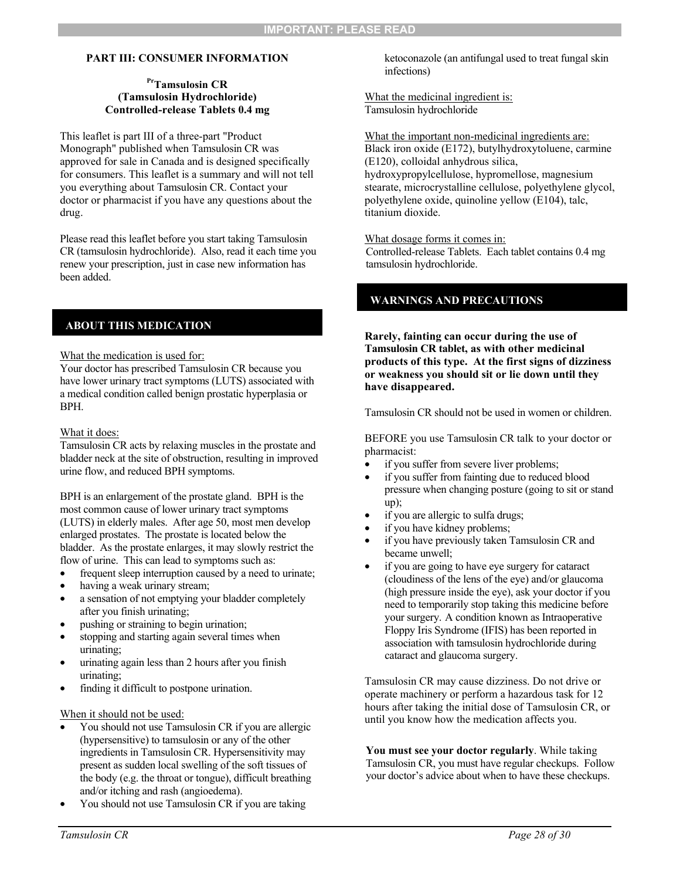# **PART III: CONSUMER INFORMATION**

## **PrTamsulosin CR (Tamsulosin Hydrochloride) Controlled-release Tablets 0.4 mg**

This leaflet is part III of a three-part "Product Monograph" published when Tamsulosin CR was approved for sale in Canada and is designed specifically for consumers. This leaflet is a summary and will not tell you everything about Tamsulosin CR. Contact your doctor or pharmacist if you have any questions about the drug.

Please read this leaflet before you start taking Tamsulosin CR (tamsulosin hydrochloride). Also, read it each time you renew your prescription, just in case new information has been added.

# **ABOUT THIS MEDICATION**

What the medication is used for:

Your doctor has prescribed Tamsulosin CR because you have lower urinary tract symptoms (LUTS) associated with a medical condition called benign prostatic hyperplasia or BPH.

## What it does:

Tamsulosin CR acts by relaxing muscles in the prostate and bladder neck at the site of obstruction, resulting in improved urine flow, and reduced BPH symptoms.

BPH is an enlargement of the prostate gland. BPH is the most common cause of lower urinary tract symptoms (LUTS) in elderly males. After age 50, most men develop enlarged prostates. The prostate is located below the bladder. As the prostate enlarges, it may slowly restrict the flow of urine. This can lead to symptoms such as:

- frequent sleep interruption caused by a need to urinate;
- having a weak urinary stream;
- a sensation of not emptying your bladder completely after you finish urinating;
- pushing or straining to begin urination;
- stopping and starting again several times when urinating;
- urinating again less than 2 hours after you finish urinating;
- finding it difficult to postpone urination.

## When it should not be used:

- You should not use Tamsulosin CR if you are allergic (hypersensitive) to tamsulosin or any of the other ingredients in Tamsulosin CR. Hypersensitivity may present as sudden local swelling of the soft tissues of the body (e.g. the throat or tongue), difficult breathing and/or itching and rash (angioedema).
- You should not use Tamsulosin CR if you are taking

ketoconazole (an antifungal used to treat fungal skin infections)

What the medicinal ingredient is: Tamsulosin hydrochloride

What the important non-medicinal ingredients are: Black iron oxide (E172), butylhydroxytoluene, carmine (E120), colloidal anhydrous silica, hydroxypropylcellulose, hypromellose, magnesium stearate, microcrystalline cellulose, polyethylene glycol, polyethylene oxide, quinoline yellow (E104), talc,

#### What dosage forms it comes in:

titanium dioxide.

Controlled-release Tablets. Each tablet contains 0.4 mg tamsulosin hydrochloride.

# **WARNINGS AND PRECAUTIONS**

**Rarely, fainting can occur during the use of Tamsulosin CR tablet, as with other medicinal products of this type. At the first signs of dizziness or weakness you should sit or lie down until they have disappeared.** 

Tamsulosin CR should not be used in women or children.

BEFORE you use Tamsulosin CR talk to your doctor or pharmacist:

- if you suffer from severe liver problems;
- if you suffer from fainting due to reduced blood pressure when changing posture (going to sit or stand up);
- if you are allergic to sulfa drugs;
- if you have kidney problems;
- if you have previously taken Tamsulosin CR and became unwell;
- if you are going to have eye surgery for cataract (cloudiness of the lens of the eye) and/or glaucoma (high pressure inside the eye), ask your doctor if you need to temporarily stop taking this medicine before your surgery. A condition known as Intraoperative Floppy Iris Syndrome (IFIS) has been reported in association with tamsulosin hydrochloride during cataract and glaucoma surgery.

Tamsulosin CR may cause dizziness. Do not drive or operate machinery or perform a hazardous task for 12 hours after taking the initial dose of Tamsulosin CR, or until you know how the medication affects you.

**You must see your doctor regularly**. While taking Tamsulosin CR, you must have regular checkups. Follow your doctor's advice about when to have these checkups.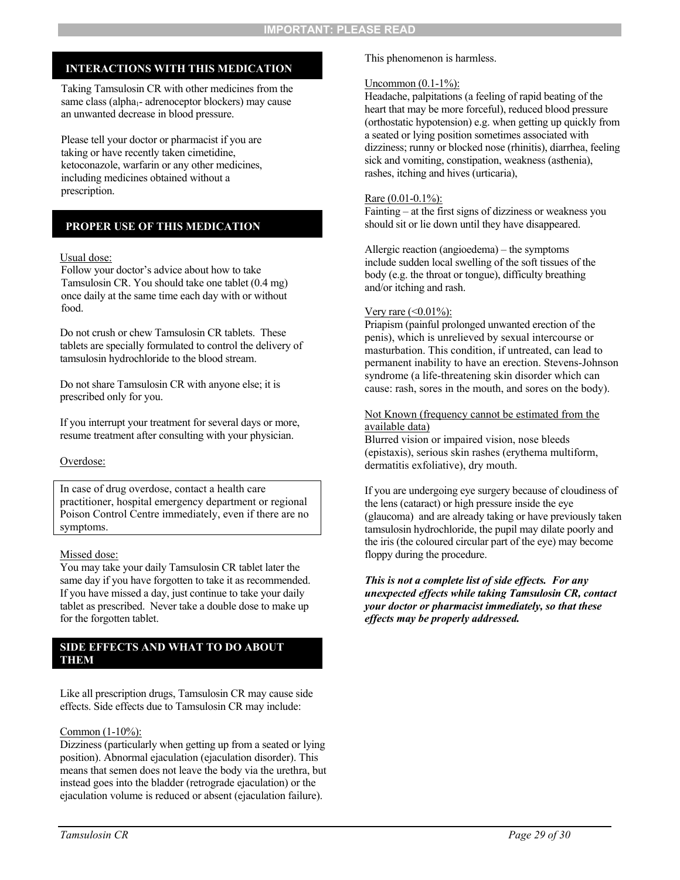# **INTERACTIONS WITH THIS MEDICATION**

Taking Tamsulosin CR with other medicines from the same class (alpha<sub>1</sub>- adrenoceptor blockers) may cause an unwanted decrease in blood pressure.

Please tell your doctor or pharmacist if you are taking or have recently taken cimetidine, ketoconazole, warfarin or any other medicines, including medicines obtained without a prescription.

# **PROPER USE OF THIS MEDICATION**

#### Usual dose:

Follow your doctor's advice about how to take Tamsulosin CR. You should take one tablet (0.4 mg) once daily at the same time each day with or without food.

Do not crush or chew Tamsulosin CR tablets. These tablets are specially formulated to control the delivery of tamsulosin hydrochloride to the blood stream.

Do not share Tamsulosin CR with anyone else; it is prescribed only for you.

If you interrupt your treatment for several days or more, resume treatment after consulting with your physician.

## Overdose:

In case of drug overdose, contact a health care practitioner, hospital emergency department or regional Poison Control Centre immediately, even if there are no symptoms.

## Missed dose:

You may take your daily Tamsulosin CR tablet later the same day if you have forgotten to take it as recommended. If you have missed a day, just continue to take your daily tablet as prescribed. Never take a double dose to make up for the forgotten tablet.

## **SIDE EFFECTS AND WHAT TO DO ABOUT THEM**

Like all prescription drugs, Tamsulosin CR may cause side effects. Side effects due to Tamsulosin CR may include:

#### Common (1-10%):

Dizziness (particularly when getting up from a seated or lying position). Abnormal ejaculation (ejaculation disorder). This means that semen does not leave the body via the urethra, but instead goes into the bladder (retrograde ejaculation) or the ejaculation volume is reduced or absent (ejaculation failure).

This phenomenon is harmless.

#### Uncommon  $(0.1-1\%)$ :

Headache, palpitations (a feeling of rapid beating of the heart that may be more forceful), reduced blood pressure (orthostatic hypotension) e.g. when getting up quickly from a seated or lying position sometimes associated with dizziness; runny or blocked nose (rhinitis), diarrhea, feeling sick and vomiting, constipation, weakness (asthenia), rashes, itching and hives (urticaria),

#### Rare (0.01-0.1%):

Fainting – at the first signs of dizziness or weakness you should sit or lie down until they have disappeared.

Allergic reaction (angioedema) – the symptoms include sudden local swelling of the soft tissues of the body (e.g. the throat or tongue), difficulty breathing and/or itching and rash.

#### Very rare  $($  < 0.01%):

Priapism (painful prolonged unwanted erection of the penis), which is unrelieved by sexual intercourse or masturbation. This condition, if untreated, can lead to permanent inability to have an erection. Stevens-Johnson syndrome (a life-threatening skin disorder which can cause: rash, sores in the mouth, and sores on the body).

## Not Known (frequency cannot be estimated from the available data)

Blurred vision or impaired vision, nose bleeds (epistaxis), serious skin rashes (erythema multiform, dermatitis exfoliative), dry mouth.

If you are undergoing eye surgery because of cloudiness of the lens (cataract) or high pressure inside the eye (glaucoma) and are already taking or have previously taken tamsulosin hydrochloride, the pupil may dilate poorly and the iris (the coloured circular part of the eye) may become floppy during the procedure.

*This is not a complete list of side effects. For any unexpected effects while taking Tamsulosin CR, contact your doctor or pharmacist immediately, so that these effects may be properly addressed.*